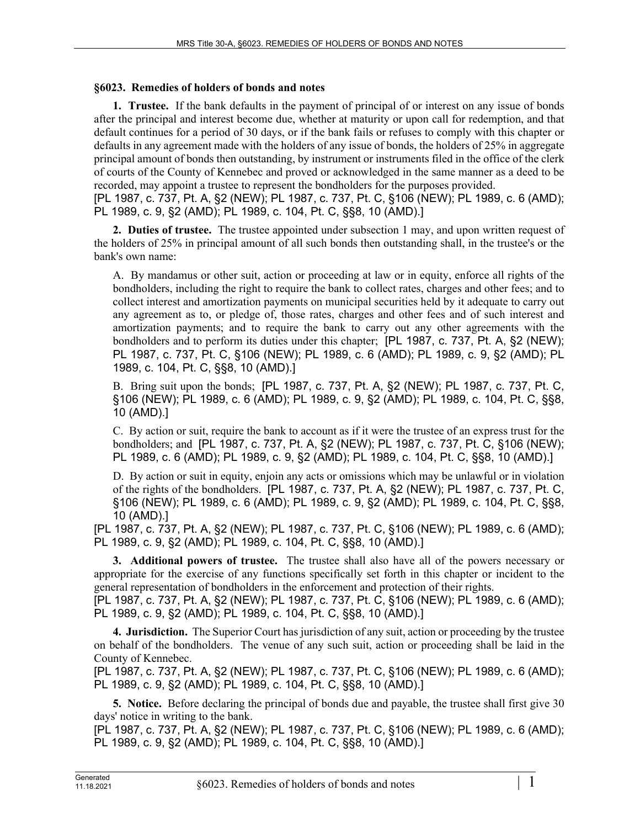## **§6023. Remedies of holders of bonds and notes**

**1. Trustee.** If the bank defaults in the payment of principal of or interest on any issue of bonds after the principal and interest become due, whether at maturity or upon call for redemption, and that default continues for a period of 30 days, or if the bank fails or refuses to comply with this chapter or defaults in any agreement made with the holders of any issue of bonds, the holders of 25% in aggregate principal amount of bonds then outstanding, by instrument or instruments filed in the office of the clerk of courts of the County of Kennebec and proved or acknowledged in the same manner as a deed to be recorded, may appoint a trustee to represent the bondholders for the purposes provided.

[PL 1987, c. 737, Pt. A, §2 (NEW); PL 1987, c. 737, Pt. C, §106 (NEW); PL 1989, c. 6 (AMD); PL 1989, c. 9, §2 (AMD); PL 1989, c. 104, Pt. C, §§8, 10 (AMD).]

**2. Duties of trustee.** The trustee appointed under subsection 1 may, and upon written request of the holders of 25% in principal amount of all such bonds then outstanding shall, in the trustee's or the bank's own name:

A. By mandamus or other suit, action or proceeding at law or in equity, enforce all rights of the bondholders, including the right to require the bank to collect rates, charges and other fees; and to collect interest and amortization payments on municipal securities held by it adequate to carry out any agreement as to, or pledge of, those rates, charges and other fees and of such interest and amortization payments; and to require the bank to carry out any other agreements with the bondholders and to perform its duties under this chapter; [PL 1987, c. 737, Pt. A, §2 (NEW); PL 1987, c. 737, Pt. C, §106 (NEW); PL 1989, c. 6 (AMD); PL 1989, c. 9, §2 (AMD); PL 1989, c. 104, Pt. C, §§8, 10 (AMD).]

B. Bring suit upon the bonds; [PL 1987, c. 737, Pt. A, §2 (NEW); PL 1987, c. 737, Pt. C, §106 (NEW); PL 1989, c. 6 (AMD); PL 1989, c. 9, §2 (AMD); PL 1989, c. 104, Pt. C, §§8, 10 (AMD).]

C. By action or suit, require the bank to account as if it were the trustee of an express trust for the bondholders; and [PL 1987, c. 737, Pt. A, §2 (NEW); PL 1987, c. 737, Pt. C, §106 (NEW); PL 1989, c. 6 (AMD); PL 1989, c. 9, §2 (AMD); PL 1989, c. 104, Pt. C, §§8, 10 (AMD).]

D. By action or suit in equity, enjoin any acts or omissions which may be unlawful or in violation of the rights of the bondholders. [PL 1987, c. 737, Pt. A, §2 (NEW); PL 1987, c. 737, Pt. C, §106 (NEW); PL 1989, c. 6 (AMD); PL 1989, c. 9, §2 (AMD); PL 1989, c. 104, Pt. C, §§8, 10 (AMD).]

[PL 1987, c. 737, Pt. A, §2 (NEW); PL 1987, c. 737, Pt. C, §106 (NEW); PL 1989, c. 6 (AMD); PL 1989, c. 9, §2 (AMD); PL 1989, c. 104, Pt. C, §§8, 10 (AMD).]

**3. Additional powers of trustee.** The trustee shall also have all of the powers necessary or appropriate for the exercise of any functions specifically set forth in this chapter or incident to the general representation of bondholders in the enforcement and protection of their rights.

[PL 1987, c. 737, Pt. A, §2 (NEW); PL 1987, c. 737, Pt. C, §106 (NEW); PL 1989, c. 6 (AMD); PL 1989, c. 9, §2 (AMD); PL 1989, c. 104, Pt. C, §§8, 10 (AMD).]

**4. Jurisdiction.** The Superior Court has jurisdiction of any suit, action or proceeding by the trustee on behalf of the bondholders. The venue of any such suit, action or proceeding shall be laid in the County of Kennebec.

[PL 1987, c. 737, Pt. A, §2 (NEW); PL 1987, c. 737, Pt. C, §106 (NEW); PL 1989, c. 6 (AMD); PL 1989, c. 9, §2 (AMD); PL 1989, c. 104, Pt. C, §§8, 10 (AMD).]

**5. Notice.** Before declaring the principal of bonds due and payable, the trustee shall first give 30 days' notice in writing to the bank.

[PL 1987, c. 737, Pt. A, §2 (NEW); PL 1987, c. 737, Pt. C, §106 (NEW); PL 1989, c. 6 (AMD); PL 1989, c. 9, §2 (AMD); PL 1989, c. 104, Pt. C, §§8, 10 (AMD).]